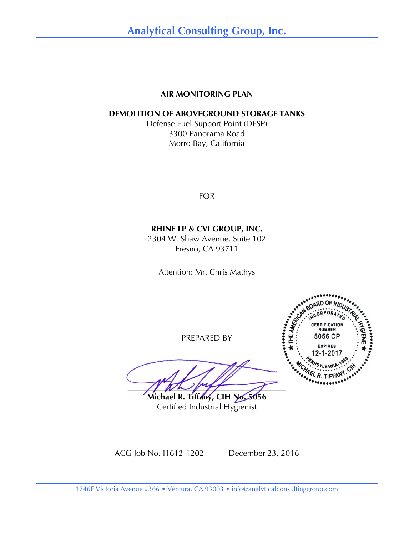### **AIR MONITORING PLAN**

### **DEMOLITION OF ABOVEGROUND STORAGE TANKS**

Defense Fuel Support Point (DFSP) 3300 Panorama Road Morro Bay, California

FOR

## **RHINE LP & CVI GROUP, INC.**

2304 W. Shaw Avenue, Suite 102 Fresno, CA 93711

Attention: Mr. Chris Mathys

PREPARED BY

 $\frac{1}{2}$ **Michael R. Tiffany, CIH No. 5056**

Certified Industrial Hygienist



ACG Job No. I1612-1202 December 23, 2016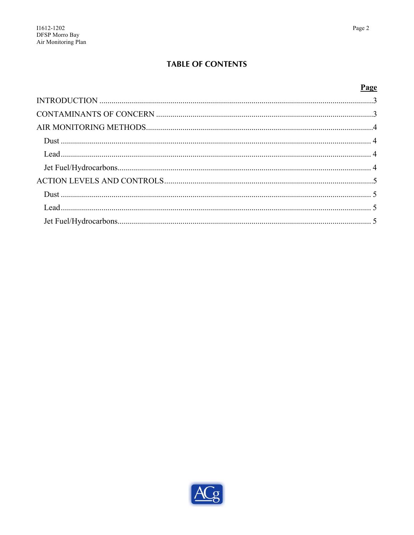## **TABLE OF CONTENTS**

### Page

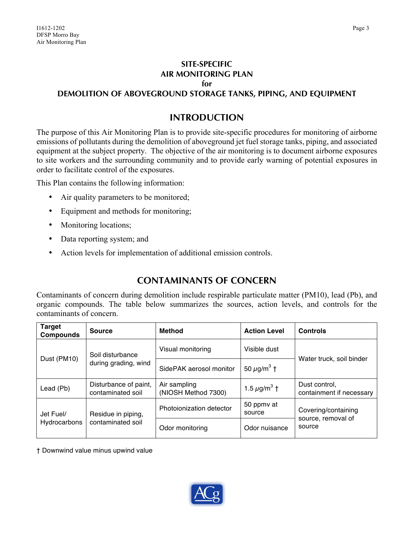#### **SITE-SPECIFIC AIR MONITORING PLAN**

#### **for**

**DEMOLITION OF ABOVEGROUND STORAGE TANKS, PIPING, AND EQUIPMENT**

## **INTRODUCTION**

The purpose of this Air Monitoring Plan is to provide site-specific procedures for monitoring of airborne emissions of pollutants during the demolition of aboveground jet fuel storage tanks, piping, and associated equipment at the subject property. The objective of the air monitoring is to document airborne exposures to site workers and the surrounding community and to provide early warning of potential exposures in order to facilitate control of the exposures.

This Plan contains the following information:

- Air quality parameters to be monitored;
- Equipment and methods for monitoring;
- Monitoring locations;
- Data reporting system; and
- Action levels for implementation of additional emission controls.

# **CONTAMINANTS OF CONCERN**

Contaminants of concern during demolition include respirable particulate matter (PM10), lead (Pb), and organic compounds. The table below summarizes the sources, action levels, and controls for the contaminants of concern.

| <b>Target</b><br><b>Compounds</b> | <b>Source</b>                              | Method                              | <b>Action Level</b>          | <b>Controls</b>                                     |
|-----------------------------------|--------------------------------------------|-------------------------------------|------------------------------|-----------------------------------------------------|
| Dust (PM10)                       | Soil disturbance<br>during grading, wind   | Visual monitoring                   | Visible dust                 | Water truck, soil binder                            |
|                                   |                                            | SidePAK aerosol monitor             | 50 $\mu$ g/m <sup>3</sup> †  |                                                     |
| Lead (Pb)                         | Disturbance of paint,<br>contaminated soil | Air sampling<br>(NIOSH Method 7300) | 1.5 $\mu$ g/m <sup>3</sup> † | Dust control,<br>containment if necessary           |
| Jet Fuel/<br>Hydrocarbons         | Residue in piping,<br>contaminated soil    | Photoionization detector            | 50 ppmy at<br>source         | Covering/containing<br>source, removal of<br>source |
|                                   |                                            | Odor monitoring                     | Odor nuisance                |                                                     |

† Downwind value minus upwind value

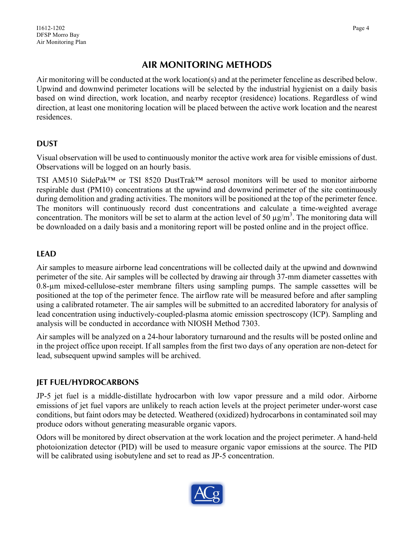# **AIR MONITORING METHODS**

Air monitoring will be conducted at the work location(s) and at the perimeter fenceline as described below. Upwind and downwind perimeter locations will be selected by the industrial hygienist on a daily basis based on wind direction, work location, and nearby receptor (residence) locations. Regardless of wind direction, at least one monitoring location will be placed between the active work location and the nearest residences.

## **DUST**

Visual observation will be used to continuously monitor the active work area for visible emissions of dust. Observations will be logged on an hourly basis.

TSI AM510 SidePak™ or TSI 8520 DustTrak™ aerosol monitors will be used to monitor airborne respirable dust (PM10) concentrations at the upwind and downwind perimeter of the site continuously during demolition and grading activities. The monitors will be positioned at the top of the perimeter fence. The monitors will continuously record dust concentrations and calculate a time-weighted average concentration. The monitors will be set to alarm at the action level of 50  $\mu$ g/m<sup>3</sup>. The monitoring data will be downloaded on a daily basis and a monitoring report will be posted online and in the project office.

## **LEAD**

Air samples to measure airborne lead concentrations will be collected daily at the upwind and downwind perimeter of the site. Air samples will be collected by drawing air through 37-mm diameter cassettes with 0.8-µm mixed-cellulose-ester membrane filters using sampling pumps. The sample cassettes will be positioned at the top of the perimeter fence. The airflow rate will be measured before and after sampling using a calibrated rotameter. The air samples will be submitted to an accredited laboratory for analysis of lead concentration using inductively-coupled-plasma atomic emission spectroscopy (ICP). Sampling and analysis will be conducted in accordance with NIOSH Method 7303.

Air samples will be analyzed on a 24-hour laboratory turnaround and the results will be posted online and in the project office upon receipt. If all samples from the first two days of any operation are non-detect for lead, subsequent upwind samples will be archived.

## **JET FUEL/HYDROCARBONS**

JP-5 jet fuel is a middle-distillate hydrocarbon with low vapor pressure and a mild odor. Airborne emissions of jet fuel vapors are unlikely to reach action levels at the project perimeter under-worst case conditions, but faint odors may be detected. Weathered (oxidized) hydrocarbons in contaminated soil may produce odors without generating measurable organic vapors.

Odors will be monitored by direct observation at the work location and the project perimeter. A hand-held photoionization detector (PID) will be used to measure organic vapor emissions at the source. The PID will be calibrated using isobutylene and set to read as JP-5 concentration.

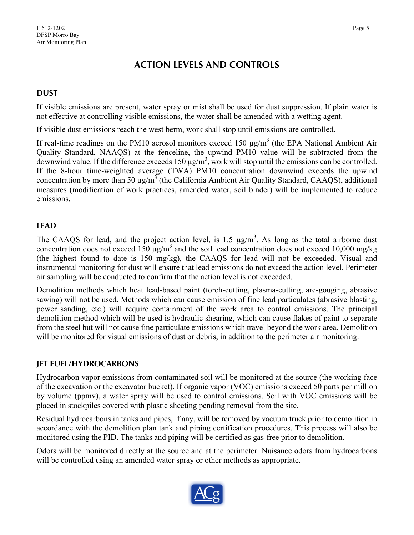# **ACTION LEVELS AND CONTROLS**

## **DUST**

If visible emissions are present, water spray or mist shall be used for dust suppression. If plain water is not effective at controlling visible emissions, the water shall be amended with a wetting agent.

If visible dust emissions reach the west berm, work shall stop until emissions are controlled.

If real-time readings on the PM10 aerosol monitors exceed 150  $\mu$ g/m<sup>3</sup> (the EPA National Ambient Air Quality Standard, NAAQS) at the fenceline, the upwind PM10 value will be subtracted from the downwind value. If the difference exceeds 150  $\mu$ g/m<sup>3</sup>, work will stop until the emissions can be controlled. If the 8-hour time-weighted average (TWA) PM10 concentration downwind exceeds the upwind concentration by more than 50  $\mu$ g/m<sup>3</sup> (the California Ambient Air Quality Standard, CAAQS), additional measures (modification of work practices, amended water, soil binder) will be implemented to reduce emissions.

## **LEAD**

The CAAQS for lead, and the project action level, is 1.5  $\mu$ g/m<sup>3</sup>. As long as the total airborne dust concentration does not exceed 150  $\mu$ g/m<sup>3</sup> and the soil lead concentration does not exceed 10,000 mg/kg (the highest found to date is 150 mg/kg), the CAAQS for lead will not be exceeded. Visual and instrumental monitoring for dust will ensure that lead emissions do not exceed the action level. Perimeter air sampling will be conducted to confirm that the action level is not exceeded.

Demolition methods which heat lead-based paint (torch-cutting, plasma-cutting, arc-gouging, abrasive sawing) will not be used. Methods which can cause emission of fine lead particulates (abrasive blasting, power sanding, etc.) will require containment of the work area to control emissions. The principal demolition method which will be used is hydraulic shearing, which can cause flakes of paint to separate from the steel but will not cause fine particulate emissions which travel beyond the work area. Demolition will be monitored for visual emissions of dust or debris, in addition to the perimeter air monitoring.

## **JET FUEL/HYDROCARBONS**

Hydrocarbon vapor emissions from contaminated soil will be monitored at the source (the working face of the excavation or the excavator bucket). If organic vapor (VOC) emissions exceed 50 parts per million by volume (ppmv), a water spray will be used to control emissions. Soil with VOC emissions will be placed in stockpiles covered with plastic sheeting pending removal from the site.

Residual hydrocarbons in tanks and pipes, if any, will be removed by vacuum truck prior to demolition in accordance with the demolition plan tank and piping certification procedures. This process will also be monitored using the PID. The tanks and piping will be certified as gas-free prior to demolition.

Odors will be monitored directly at the source and at the perimeter. Nuisance odors from hydrocarbons will be controlled using an amended water spray or other methods as appropriate.